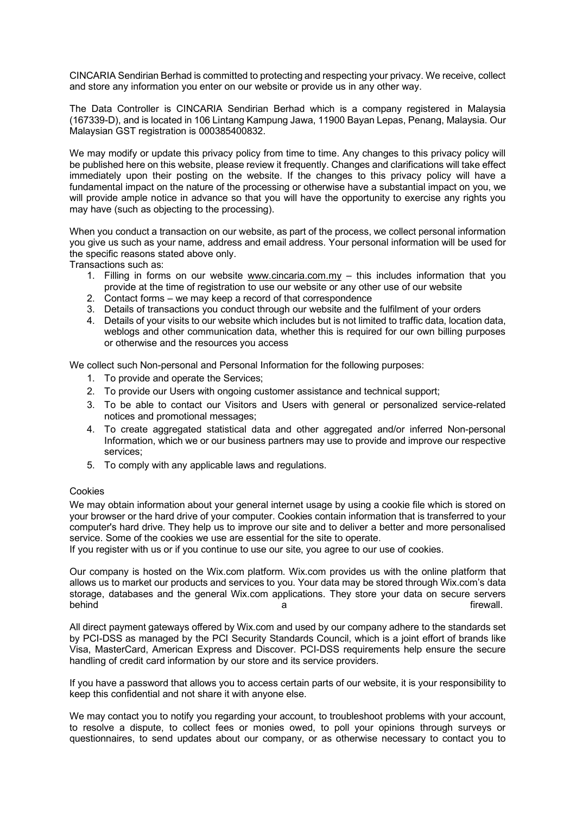CINCARIA Sendirian Berhad is committed to protecting and respecting your privacy. We receive, collect and store any information you enter on our website or provide us in any other way.

The Data Controller is CINCARIA Sendirian Berhad which is a company registered in Malaysia (167339-D), and is located in 106 Lintang Kampung Jawa, 11900 Bayan Lepas, Penang, Malaysia. Our Malaysian GST registration is 000385400832.

We may modify or update this privacy policy from time to time. Any changes to this privacy policy will be published here on this website, please review it frequently. Changes and clarifications will take effect immediately upon their posting on the website. If the changes to this privacy policy will have a fundamental impact on the nature of the processing or otherwise have a substantial impact on you, we will provide ample notice in advance so that you will have the opportunity to exercise any rights you may have (such as objecting to the processing).

When you conduct a transaction on our website, as part of the process, we collect personal information you give us such as your name, address and email address. Your personal information will be used for the specific reasons stated above only.

Transactions such as:

- 1. Filling in forms on our website www.cincaria.com.my  $-$  this includes information that you provide at the time of registration to use our website or any other use of our website
- 2. Contact forms we may keep a record of that correspondence
- 3. Details of transactions you conduct through our website and the fulfilment of your orders
- 4. Details of your visits to our website which includes but is not limited to traffic data, location data, weblogs and other communication data, whether this is required for our own billing purposes or otherwise and the resources you access

We collect such Non-personal and Personal Information for the following purposes:

- 1. To provide and operate the Services;
- 2. To provide our Users with ongoing customer assistance and technical support;
- 3. To be able to contact our Visitors and Users with general or personalized service-related notices and promotional messages;
- 4. To create aggregated statistical data and other aggregated and/or inferred Non-personal Information, which we or our business partners may use to provide and improve our respective services;
- 5. To comply with any applicable laws and regulations.

## Cookies

We may obtain information about your general internet usage by using a cookie file which is stored on your browser or the hard drive of your computer. Cookies contain information that is transferred to your computer's hard drive. They help us to improve our site and to deliver a better and more personalised service. Some of the cookies we use are essential for the site to operate.

If you register with us or if you continue to use our site, you agree to our use of cookies.

Our company is hosted on the Wix.com platform. Wix.com provides us with the online platform that allows us to market our products and services to you. Your data may be stored through Wix.com's data storage, databases and the general Wix.com applications. They store your data on secure servers behind a firewall. The settlement of the settlement of the settlement of the settlement of the settlement of th

All direct payment gateways offered by Wix.com and used by our company adhere to the standards set by PCI-DSS as managed by the PCI Security Standards Council, which is a joint effort of brands like Visa, MasterCard, American Express and Discover. PCI-DSS requirements help ensure the secure handling of credit card information by our store and its service providers.

If you have a password that allows you to access certain parts of our website, it is your responsibility to keep this confidential and not share it with anyone else.

We may contact you to notify you regarding your account, to troubleshoot problems with your account, to resolve a dispute, to collect fees or monies owed, to poll your opinions through surveys or questionnaires, to send updates about our company, or as otherwise necessary to contact you to